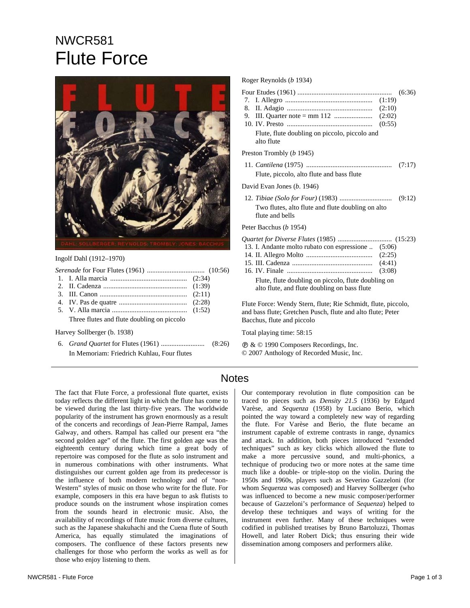# NWCR581 Flute Force



#### Ingolf Dahl (1912–1970)

*Serenade* for Four Flutes (1961) ................................. (10:56) 1. I. Alla marcia ............................................ (2:34)

- 2. II. Cadenza ................................................ (1:39)
- 3. III. Canon .................................................. (2:11)
- 4. IV. Pas de quatre ....................................... (2:28)
- 5. V. Alla marcia ........................................... (1:52)

Three flutes and flute doubling on piccolo

Harvey Sollberger (b. 1938)

6. *Grand Quartet* for Flutes (1961) ......................... (8:26) In Memoriam: Friedrich Kuhlau, Four flutes

### Roger Reynolds (*b* 1934)

- Four Etudes (1961) ...................................................... (6:36)
- 7. I. Allegro .................................................. (1:19)
- 8. II. Adagio ................................................. (2:10)
- 9. III. Quarter note = mm 112 ...................... (2:02) 10. IV. Presto ................................................. (0:55)
- Flute, flute doubling on piccolo, piccolo and alto flute

## Preston Trombly (*b* 1945)

11. *Cantilena* (1975) ................................................. (7:17) Flute, piccolo, alto flute and bass flute

David Evan Jones (*b*. 1946)

12. *Tibiae (Solo for Four)* (1983) .............................. (9:12) Two flutes, alto flute and flute doubling on alto flute and bells

#### Peter Bacchus (*b* 1954)

- *Quartet for Diverse Flutes* (1985) ............................... (15:23)
- 13. I. Andante molto rubato con espressione .. (5:06) 14. II. Allegro Molto ...................................... (2:25)
- 15. III. Cadenza .............................................. (4:41)
- 16. IV. Finale ................................................. (3:08)

Flute, flute doubling on piccolo, flute doubling on alto flute, and flute doubling on bass flute

Flute Force: Wendy Stern, flute; Rie Schmidt, flute, piccolo, and bass flute; Gretchen Pusch, flute and alto flute; Peter Bacchus, flute and piccolo

Total playing time: 58:15

Ê & © 1990 Composers Recordings, Inc. © 2007 Anthology of Recorded Music, Inc.

# **Notes**

The fact that Flute Force, a professional flute quartet, exists today reflects the different light in which the flute has come to be viewed during the last thirty-five years. The worldwide popularity of the instrument has grown enormously as a result of the concerts and recordings of Jean-Pierre Rampal, James Galway, and others. Rampal has called our present era "the second golden age" of the flute. The first golden age was the eighteenth century during which time a great body of repertoire was composed for the flute as solo instrument and in numerous combinations with other instruments. What distinguishes our current golden age from its predecessor is the influence of both modern technology and of "non-Western" styles of music on those who write for the flute. For example, composers in this era have begun to ask flutists to produce sounds on the instrument whose inspiration comes from the sounds heard in electronic music. Also, the availability of recordings of flute music from diverse cultures, such as the Japanese shakuhachi and the Cuena flute of South America, has equally stimulated the imaginations of composers. The confluence of these factors presents new challenges for those who perform the works as well as for those who enjoy listening to them.

Our contemporary revolution in flute composition can be traced to pieces such as *Density 21.5* (1936) by Edgard Varèse, and *Sequenza* (1958) by Luciano Berio, which pointed the way toward a completely new way of regarding the flute. For Varèse and Berio, the flute became an instrument capable of extreme contrasts in range, dynamics and attack. In addition, both pieces introduced "extended techniques" such as key clicks which allowed the flute to make a more percussive sound, and multi-phonics, a technique of producing two or more notes at the same time much like a double- or triple-stop on the violin. During the 1950s and 1960s, players such as Severino Gazzeloni (for whom *Sequenza* was composed) and Harvey Sollberger (who was influenced to become a new music composer/performer because of Gazzeloni's performance of *Sequenza*) helped to develop these techniques and ways of writing for the instrument even further. Many of these techniques were codified in published treatises by Bruno Bartoluzzi, Thomas Howell, and later Robert Dick; thus ensuring their wide dissemination among composers and performers alike.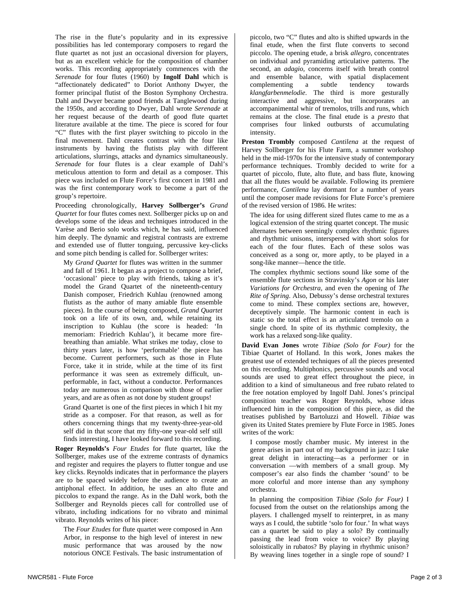The rise in the flute's popularity and in its expressive possibilities has led contemporary composers to regard the flute quartet as not just an occasional diversion for players, but as an excellent vehicle for the composition of chamber works. This recording appropriately commences with the *Serenade* for four flutes (1960) by **Ingolf Dahl** which is "affectionately dedicated" to Doriot Anthony Dwyer, the former principal flutist of the Boston Symphony Orchestra. Dahl and Dwyer became good friends at Tanglewood during the 1950s, and according to Dwyer, Dahl wrote *Serenade* at her request because of the dearth of good flute quartet literature available at the time. The piece is scored for four "C" flutes with the first player switching to piccolo in the final movement. Dahl creates contrast with the four like instruments by having the flutists play with different articulations, slurrings, attacks and dynamics simultaneously. *Serenade* for four flutes is a clear example of Dahl's meticulous attention to form and detail as a composer. This piece was included on Flute Force's first concert in 1981 and was the first contemporary work to become a part of the group's repertoire.

Proceeding chronologically, **Harvey Sollberger's** *Grand Quartet* for four flutes comes next. Sollberger picks up on and develops some of the ideas and techniques introduced in the Varèse and Berio solo works which, he has said, influenced him deeply. The dynamic and registral contrasts are extreme and extended use of flutter tonguing, percussive key-clicks and some pitch bending is called for. Sollberger writes:

My *Grand Quartet* for flutes was written in the summer and fall of 1961. It began as a project to compose a brief, 'occasional' piece to play with friends, taking as it's model the Grand Quartet of the nineteenth-century Danish composer, Friedrich Kuhlau (renowned among flutists as the author of many amiable flute ensemble pieces). In the course of being composed, *Grand Quartet*  took on a life of its own, and, while retaining its inscription to Kuhlau (the score is headed: 'In memoriam: Friedrich Kuhlau'), it became more firebreathing than amiable. What strikes me today, close to thirty years later, is how 'performable' the piece has become. Current performers, such as those in Flute Force, take it in stride, while at the time of its first performance it was seen as extremely difficult, unperformable, in fact, without a conductor. Performances today are numerous in comparison with those of earlier years, and are as often as not done by student groups!

Grand Quartet is one of the first pieces in which I hit my stride as a composer. For that reason, as well as for others concerning things that my twenty-three-year-old self did in that score that my fifty-one year-old self still finds interesting, I have looked forward to this recording.

**Roger Reynolds's** *Four Etudes* for flute quartet, like the Sollberger, makes use of the extreme contrasts of dynamics and register and requires the players to flutter tongue and use key clicks. Reynolds indicates that in performance the players are to be spaced widely before the audience to create an antiphonal effect. In addition, he uses an alto flute and piccolos to expand the range. As in the Dahl work, both the Sollberger and Reynolds pieces call for controlled use of vibrato, including indications for no vibrato and minimal vibrato. Reynolds writes of his piece:

The *Four Etudes* for flute quartet were composed in Ann Arbor, in response to the high level of interest in new music performance that was aroused by the now notorious ONCE Festivals. The basic instrumentation of

piccolo, two "C" flutes and alto is shifted upwards in the final etude, when the first flute converts to second piccolo. The opening etude, a brisk *allegro,* concentrates on individual and pyramiding articulative patterns. The second, an *adagio,* concerns itself with breath control and ensemble balance, with spatial displacement complementing a subtle tendency towards *klangfarbenmelodie*. The third is more gesturally interactive and aggressive, but incorporates an accompanimental whir of tremolos, trills and runs, which remains at the close. The final etude is a *presto* that comprises four linked outbursts of accumulating intensity.

**Preston Trombly** composed *Cantilena* at the request of Harvey Sollberger for his Flute Farm, a summer workshop held in the mid-1970s for the intensive study of contemporary performance techniques. Trombly decided to write for a quartet of piccolo, flute, alto flute, and bass flute, knowing that all the flutes would be available. Following its premiere performance, *Cantilena* lay dormant for a number of years until the composer made revisions for Flute Force's premiere of the revised version of 1986. He writes:

The idea for using different sized flutes came to me as a logical extension of the string quartet concept. The music alternates between seemingly complex rhythmic figures and rhythmic unisons, interspersed with short solos for each of the four flutes. Each of these solos was conceived as a song or, more aptly, to be played in a song-like manner—hence the title.

The complex rhythmic sections sound like some of the ensemble flute sections in Stravinsky's *Agon* or his later *Variations for Orchestra*, and even the opening of *The Rite of Spring*. Also, Debussy's dense orchestral textures come to mind. These complex sections are, however, deceptively simple. The harmonic content in each is static so the total effect is an articulated tremolo on a single chord. In spite of its rhythmic complexity, the work has a relaxed song-like quality.

**David Evan Jones** wrote *Tibiae (Solo for Four)* for the Tibiae Quartet of Holland. In this work, Jones makes the greatest use of extended techniques of all the pieces presented on this recording. Multiphonics, percussive sounds and vocal sounds are used to great effect throughout the piece, in addition to a kind of simultaneous and free rubato related to the free notation employed by Ingolf Dahl. Jones's principal composition teacher was Roger Reynolds, whose ideas influenced him in the composition of this piece, as did the treatises published by Bartoluzzi and Howell. *Tibiae* was given its United States premiere by Flute Force in 1985. Jones writes of the work:

I compose mostly chamber music. My interest in the genre arises in part out of my background in jazz: I take great delight in interacting—as a performer or in conversation —with members of a small group. My composer's ear also finds the chamber 'sound' to be more colorful and more intense than any symphony orchestra.

In planning the composition *Tibiae (Solo for Four)* I focused from the outset on the relationships among the players. I challenged myself to reinterpret, in as many ways as I could, the subtitle 'solo for four.' In what ways can a quartet be said to play a solo? By continually passing the lead from voice to voice? By playing soloistically in rubatos? By playing in rhythmic unison? By weaving lines together in a single rope of sound? I